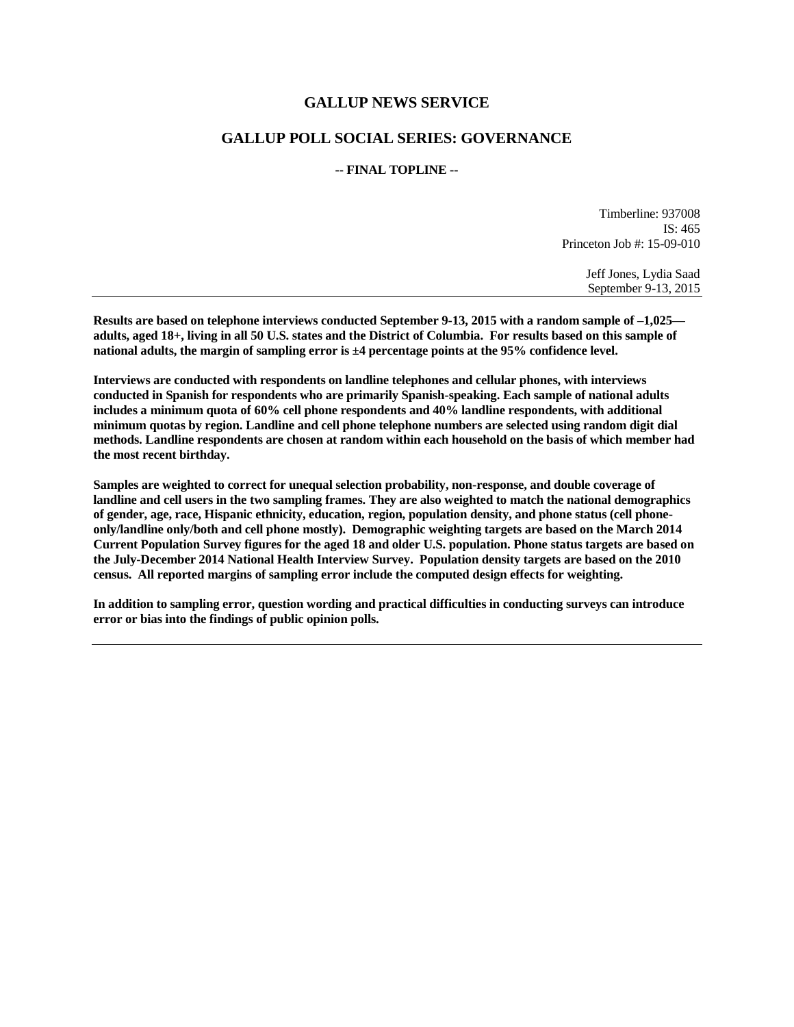## **GALLUP NEWS SERVICE**

## **GALLUP POLL SOCIAL SERIES: GOVERNANCE**

### **-- FINAL TOPLINE --**

Timberline: 937008 IS: 465 Princeton Job #: 15-09-010

> Jeff Jones, Lydia Saad September 9-13, 2015

**Results are based on telephone interviews conducted September 9-13, 2015 with a random sample of –1,025 adults, aged 18+, living in all 50 U.S. states and the District of Columbia. For results based on this sample of national adults, the margin of sampling error is ±4 percentage points at the 95% confidence level.** 

**Interviews are conducted with respondents on landline telephones and cellular phones, with interviews conducted in Spanish for respondents who are primarily Spanish-speaking. Each sample of national adults includes a minimum quota of 60% cell phone respondents and 40% landline respondents, with additional minimum quotas by region. Landline and cell phone telephone numbers are selected using random digit dial methods. Landline respondents are chosen at random within each household on the basis of which member had the most recent birthday.**

**Samples are weighted to correct for unequal selection probability, non-response, and double coverage of landline and cell users in the two sampling frames. They are also weighted to match the national demographics of gender, age, race, Hispanic ethnicity, education, region, population density, and phone status (cell phoneonly/landline only/both and cell phone mostly). Demographic weighting targets are based on the March 2014 Current Population Survey figures for the aged 18 and older U.S. population. Phone status targets are based on the July-December 2014 National Health Interview Survey. Population density targets are based on the 2010 census. All reported margins of sampling error include the computed design effects for weighting.** 

**In addition to sampling error, question wording and practical difficulties in conducting surveys can introduce error or bias into the findings of public opinion polls.**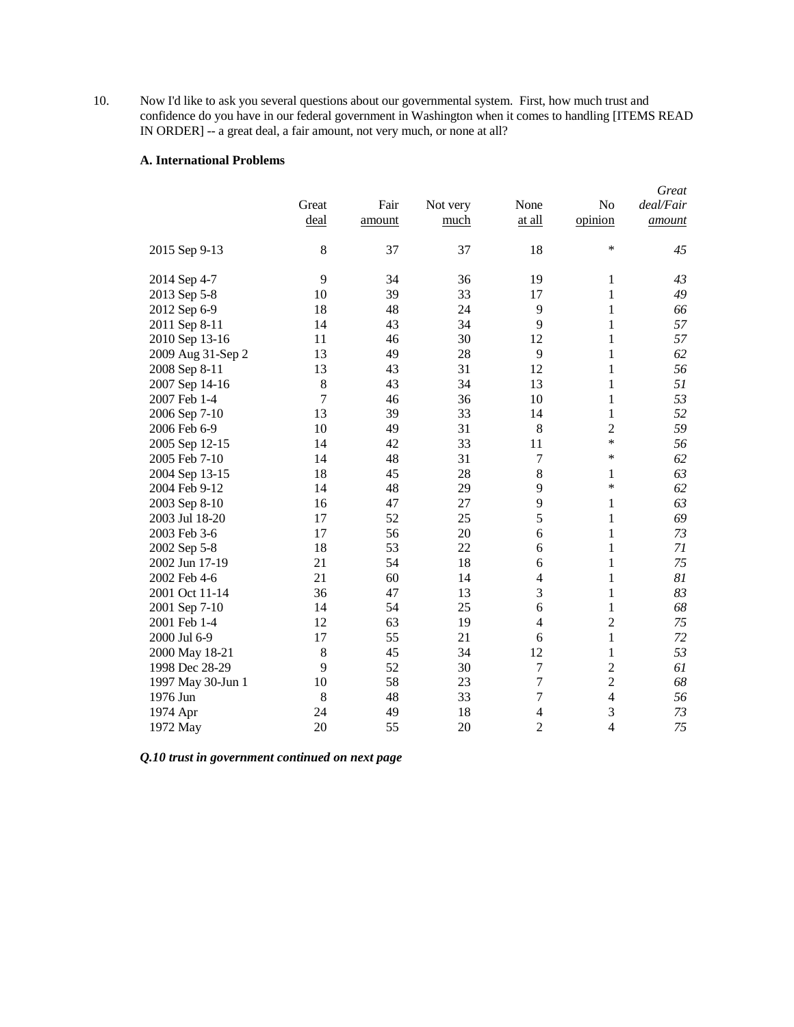10. Now I'd like to ask you several questions about our governmental system. First, how much trust and confidence do you have in our federal government in Washington when it comes to handling [ITEMS READ IN ORDER] -- a great deal, a fair amount, not very much, or none at all?

#### **A. International Problems**

|                   |        |        |          |                |                | Great     |
|-------------------|--------|--------|----------|----------------|----------------|-----------|
|                   | Great  | Fair   | Not very | None           | No             | deal/Fair |
|                   | deal   | amount | much     | at all         | opinion        | amount    |
| 2015 Sep 9-13     | 8      | 37     | 37       | 18             | *              | 45        |
| 2014 Sep 4-7      | 9      | 34     | 36       | 19             | 1              | 43        |
| 2013 Sep 5-8      | 10     | 39     | 33       | 17             | 1              | 49        |
| 2012 Sep 6-9      | 18     | 48     | 24       | 9              | 1              | 66        |
| 2011 Sep 8-11     | 14     | 43     | 34       | 9              | 1              | 57        |
| 2010 Sep 13-16    | 11     | 46     | 30       | 12             | $\mathbf{1}$   | 57        |
| 2009 Aug 31-Sep 2 | 13     | 49     | 28       | 9              | $\mathbf{1}$   | 62        |
| 2008 Sep 8-11     | 13     | 43     | 31       | 12             | $\mathbf{1}$   | 56        |
| 2007 Sep 14-16    | 8      | 43     | 34       | 13             | 1              | 51        |
| 2007 Feb 1-4      | $\tau$ | 46     | 36       | 10             | 1              | 53        |
| 2006 Sep 7-10     | 13     | 39     | 33       | 14             | 1              | 52        |
| 2006 Feb 6-9      | 10     | 49     | 31       | 8              | $\overline{c}$ | 59        |
| 2005 Sep 12-15    | 14     | 42     | 33       | 11             | *              | 56        |
| 2005 Feb 7-10     | 14     | 48     | 31       | $\tau$         | *              | 62        |
| 2004 Sep 13-15    | 18     | 45     | 28       | 8              | 1              | 63        |
| 2004 Feb 9-12     | 14     | 48     | 29       | 9              | *              | 62        |
| 2003 Sep 8-10     | 16     | 47     | 27       | 9              | 1              | 63        |
| 2003 Jul 18-20    | 17     | 52     | 25       | 5              | 1              | 69        |
| 2003 Feb 3-6      | 17     | 56     | 20       | 6              | 1              | 73        |
| 2002 Sep 5-8      | 18     | 53     | 22       | 6              | 1              | 71        |
| 2002 Jun 17-19    | 21     | 54     | 18       | 6              | 1              | 75        |
| 2002 Feb 4-6      | 21     | 60     | 14       | $\overline{4}$ | 1              | 81        |
| 2001 Oct 11-14    | 36     | 47     | 13       | 3              | 1              | 83        |
| 2001 Sep 7-10     | 14     | 54     | 25       | 6              | 1              | 68        |
| 2001 Feb 1-4      | 12     | 63     | 19       | $\overline{4}$ | $\overline{c}$ | 75        |
| 2000 Jul 6-9      | 17     | 55     | 21       | 6              | 1              | 72        |
| 2000 May 18-21    | 8      | 45     | 34       | 12             | 1              | 53        |
| 1998 Dec 28-29    | 9      | 52     | 30       | $\overline{7}$ | $\overline{c}$ | 61        |
| 1997 May 30-Jun 1 | 10     | 58     | 23       | $\overline{7}$ | $\overline{c}$ | 68        |
| 1976 Jun          | 8      | 48     | 33       | $\overline{7}$ | $\overline{4}$ | 56        |
| 1974 Apr          | 24     | 49     | 18       | $\overline{4}$ | 3              | 73        |
| 1972 May          | 20     | 55     | 20       | $\overline{c}$ | $\overline{4}$ | 75        |

*Q.10 trust in government continued on next page*